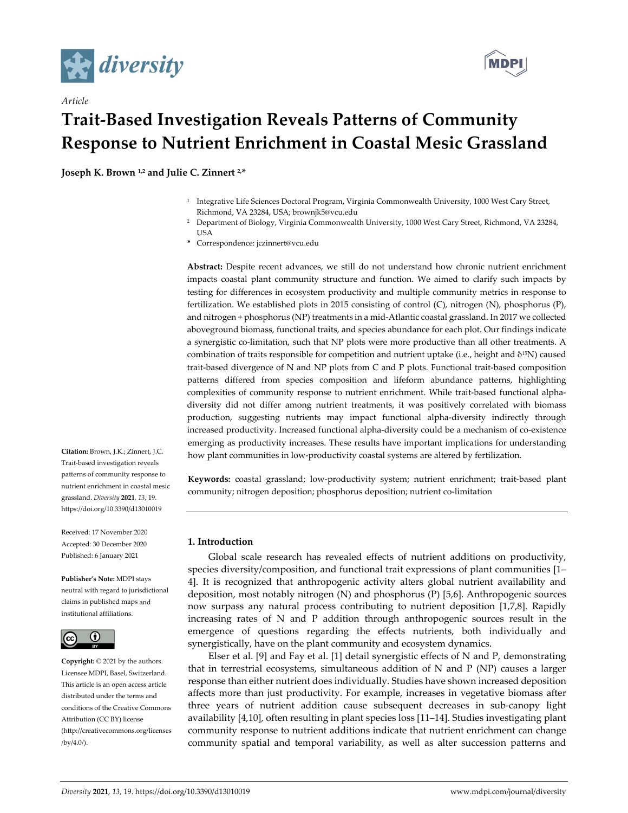

*Article*



# **Trait‐Based Investigation Reveals Patterns of Community Response to Nutrient Enrichment in Coastal Mesic Grassland**

**Joseph K. Brown 1,2 and Julie C. Zinnert 2,\***

- <sup>1</sup> Integrative Life Sciences Doctoral Program, Virginia Commonwealth University, 1000 West Cary Street, Richmond, VA 23284, USA; brownjk5@vcu.edu
- <sup>2</sup> Department of Biology, Virginia Commonwealth University, 1000 West Cary Street, Richmond, VA 23284, USA
- **\*** Correspondence: jczinnert@vcu.edu

**Abstract:** Despite recent advances, we still do not understand how chronic nutrient enrichment impacts coastal plant community structure and function. We aimed to clarify such impacts by testing for differences in ecosystem productivity and multiple community metrics in response to fertilization. We established plots in 2015 consisting of control (C), nitrogen (N), phosphorus (P), and nitrogen + phosphorus (NP) treatments in a mid‐Atlantic coastal grassland. In 2017 we collected aboveground biomass, functional traits, and species abundance for each plot. Our findings indicate a synergistic co-limitation, such that NP plots were more productive than all other treatments. A combination of traits responsible for competition and nutrient uptake (i.e., height and δ15N) caused trait‐based divergence of N and NP plots from C and P plots. Functional trait‐based composition patterns differed from species composition and lifeform abundance patterns, highlighting complexities of community response to nutrient enrichment. While trait-based functional alphadiversity did not differ among nutrient treatments, it was positively correlated with biomass production, suggesting nutrients may impact functional alpha‐diversity indirectly through increased productivity. Increased functional alpha-diversity could be a mechanism of co-existence emerging as productivity increases. These results have important implications for understanding how plant communities in low-productivity coastal systems are altered by fertilization.

Keywords: coastal grassland; low-productivity system; nutrient enrichment; trait-based plant community; nitrogen deposition; phosphorus deposition; nutrient co‐limitation

**1. Introduction**

Global scale research has revealed effects of nutrient additions on productivity, species diversity/composition, and functional trait expressions of plant communities [1– 4]. It is recognized that anthropogenic activity alters global nutrient availability and deposition, most notably nitrogen (N) and phosphorus (P) [5,6]. Anthropogenic sources now surpass any natural process contributing to nutrient deposition [1,7,8]. Rapidly increasing rates of N and P addition through anthropogenic sources result in the emergence of questions regarding the effects nutrients, both individually and synergistically, have on the plant community and ecosystem dynamics.

Elser et al. [9] and Fay et al. [1] detail synergistic effects of N and P, demonstrating that in terrestrial ecosystems, simultaneous addition of N and P (NP) causes a larger response than either nutrient does individually. Studies have shown increased deposition affects more than just productivity. For example, increases in vegetative biomass after three years of nutrient addition cause subsequent decreases in sub‐canopy light availability [4,10], often resulting in plant species loss [11–14]. Studies investigating plant community response to nutrient additions indicate that nutrient enrichment can change community spatial and temporal variability, as well as alter succession patterns and

**Citation:** Brown, J.K.; Zinnert, J.C. Trait‐based investigation reveals patterns of community response to nutrient enrichment in coastal mesic grassland. *Diversity* **2021**, *13*, 19. https://doi.org/10.3390/d13010019

Received: 17 November 2020 Accepted: 30 December 2020 Published: 6 January 2021

**Publisher's Note:** MDPI stays neutral with regard to jurisdictional claims in published maps and institutional affiliations.



**Copyright:** © 2021 by the authors. Licensee MDPI, Basel, Switzerland. This article is an open access article distributed under the terms and conditions of the Creative Commons Attribution (CC BY) license (http://creativecommons.org/licenses /by/4.0/).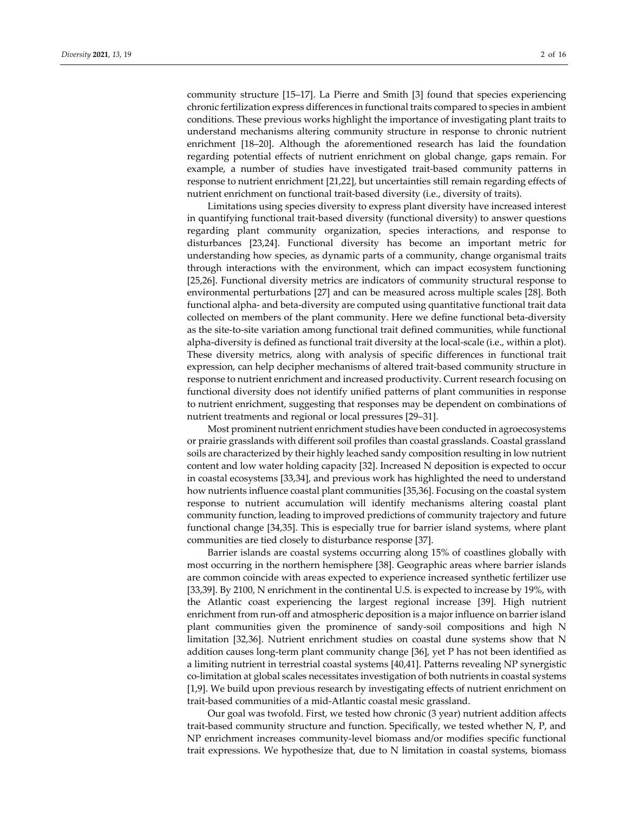community structure [15–17]. La Pierre and Smith [3] found that species experiencing chronic fertilization express differences in functional traits compared to species in ambient conditions. These previous works highlight the importance of investigating plant traits to understand mechanisms altering community structure in response to chronic nutrient enrichment [18–20]. Although the aforementioned research has laid the foundation regarding potential effects of nutrient enrichment on global change, gaps remain. For example, a number of studies have investigated trait-based community patterns in response to nutrient enrichment [21,22], but uncertainties still remain regarding effects of nutrient enrichment on functional trait‐based diversity (i.e., diversity of traits).

Limitations using species diversity to express plant diversity have increased interest in quantifying functional trait‐based diversity (functional diversity) to answer questions regarding plant community organization, species interactions, and response to disturbances [23,24]. Functional diversity has become an important metric for understanding how species, as dynamic parts of a community, change organismal traits through interactions with the environment, which can impact ecosystem functioning [25,26]. Functional diversity metrics are indicators of community structural response to environmental perturbations [27] and can be measured across multiple scales [28]. Both functional alpha‐ and beta‐diversity are computed using quantitative functional trait data collected on members of the plant community. Here we define functional beta‐diversity as the site‐to‐site variation among functional trait defined communities, while functional alpha‐diversity is defined as functional trait diversity at the local‐scale (i.e., within a plot). These diversity metrics, along with analysis of specific differences in functional trait expression, can help decipher mechanisms of altered trait‐based community structure in response to nutrient enrichment and increased productivity. Current research focusing on functional diversity does not identify unified patterns of plant communities in response to nutrient enrichment, suggesting that responses may be dependent on combinations of nutrient treatments and regional or local pressures [29–31].

Most prominent nutrient enrichment studies have been conducted in agroecosystems or prairie grasslands with different soil profiles than coastal grasslands. Coastal grassland soils are characterized by their highly leached sandy composition resulting in low nutrient content and low water holding capacity [32]. Increased N deposition is expected to occur in coastal ecosystems [33,34], and previous work has highlighted the need to understand how nutrients influence coastal plant communities [35,36]. Focusing on the coastal system response to nutrient accumulation will identify mechanisms altering coastal plant community function, leading to improved predictions of community trajectory and future functional change [34,35]. This is especially true for barrier island systems, where plant communities are tied closely to disturbance response [37].

Barrier islands are coastal systems occurring along 15% of coastlines globally with most occurring in the northern hemisphere [38]. Geographic areas where barrier islands are common coincide with areas expected to experience increased synthetic fertilizer use [33,39]. By 2100, N enrichment in the continental U.S. is expected to increase by 19%, with the Atlantic coast experiencing the largest regional increase [39]. High nutrient enrichment from run-off and atmospheric deposition is a major influence on barrier island plant communities given the prominence of sandy‐soil compositions and high N limitation [32,36]. Nutrient enrichment studies on coastal dune systems show that N addition causes long‐term plant community change [36], yet P has not been identified as a limiting nutrient in terrestrial coastal systems [40,41]. Patterns revealing NP synergistic co-limitation at global scales necessitates investigation of both nutrients in coastal systems [1,9]. We build upon previous research by investigating effects of nutrient enrichment on trait‐based communities of a mid‐Atlantic coastal mesic grassland.

Our goal was twofold. First, we tested how chronic (3 year) nutrient addition affects trait-based community structure and function. Specifically, we tested whether N, P, and NP enrichment increases community‐level biomass and/or modifies specific functional trait expressions. We hypothesize that, due to N limitation in coastal systems, biomass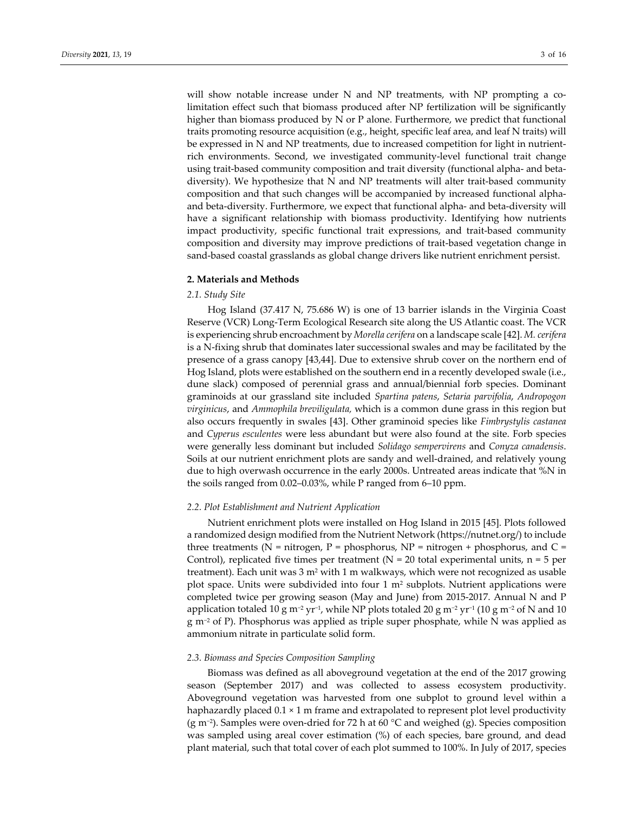will show notable increase under N and NP treatments, with NP prompting a colimitation effect such that biomass produced after NP fertilization will be significantly higher than biomass produced by N or P alone. Furthermore, we predict that functional traits promoting resource acquisition (e.g., height, specific leaf area, and leaf N traits) will be expressed in N and NP treatments, due to increased competition for light in nutrientrich environments. Second, we investigated community-level functional trait change using trait‐based community composition and trait diversity (functional alpha‐ and beta‐ diversity). We hypothesize that N and NP treatments will alter trait‐based community composition and that such changes will be accompanied by increased functional alpha‐ and beta‐diversity. Furthermore, we expect that functional alpha‐ and beta‐diversity will have a significant relationship with biomass productivity. Identifying how nutrients impact productivity, specific functional trait expressions, and trait-based community composition and diversity may improve predictions of trait‐based vegetation change in sand‐based coastal grasslands as global change drivers like nutrient enrichment persist.

### **2. Materials and Methods**

## *2.1. Study Site*

Hog Island (37.417 N, 75.686 W) is one of 13 barrier islands in the Virginia Coast Reserve (VCR) Long‐Term Ecological Research site along the US Atlantic coast. The VCR is experiencing shrub encroachment by *Morella cerifera* on a landscape scale [42]. *M. cerifera* is a N‐fixing shrub that dominates later successional swales and may be facilitated by the presence of a grass canopy [43,44]. Due to extensive shrub cover on the northern end of Hog Island, plots were established on the southern end in a recently developed swale (i.e., dune slack) composed of perennial grass and annual/biennial forb species. Dominant graminoids at our grassland site included *Spartina patens*, *Setaria parvifolia*, *Andropogon virginicus*, and *Ammophila breviligulata,* which is a common dune grass in this region but also occurs frequently in swales [43]. Other graminoid species like *Fimbrystylis castanea* and *Cyperus esculentes* were less abundant but were also found at the site. Forb species were generally less dominant but included *Solidago sempervirens* and *Conyza canadensis*. Soils at our nutrient enrichment plots are sandy and well‐drained, and relatively young due to high overwash occurrence in the early 2000s. Untreated areas indicate that %N in the soils ranged from 0.02–0.03%, while P ranged from 6–10 ppm.

## *2.2. Plot Establishment and Nutrient Application*

Nutrient enrichment plots were installed on Hog Island in 2015 [45]. Plots followed a randomized design modified from the Nutrient Network (https://nutnet.org/) to include three treatments ( $N =$  nitrogen,  $P =$  phosphorus,  $NP =$  nitrogen + phosphorus, and  $C =$ Control), replicated five times per treatment ( $N = 20$  total experimental units,  $n = 5$  per treatment). Each unit was  $3 \text{ m}^2$  with 1 m walkways, which were not recognized as usable plot space. Units were subdivided into four  $1 \text{ m}^2$  subplots. Nutrient applications were completed twice per growing season (May and June) from 2015‐2017. Annual N and P application totaled 10 g m<sup>-2</sup> yr<sup>-1</sup>, while NP plots totaled 20 g m<sup>-2</sup> yr<sup>-1</sup> (10 g m<sup>-2</sup> of N and 10 g m−<sup>2</sup> of P). Phosphorus was applied as triple super phosphate, while N was applied as ammonium nitrate in particulate solid form.

## *2.3. Biomass and Species Composition Sampling*

Biomass was defined as all aboveground vegetation at the end of the 2017 growing season (September 2017) and was collected to assess ecosystem productivity. Aboveground vegetation was harvested from one subplot to ground level within a haphazardly placed 0.1 × 1 m frame and extrapolated to represent plot level productivity (g m−2). Samples were oven‐dried for 72 h at 60 °C and weighed (g). Species composition was sampled using areal cover estimation (%) of each species, bare ground, and dead plant material, such that total cover of each plot summed to 100%. In July of 2017, species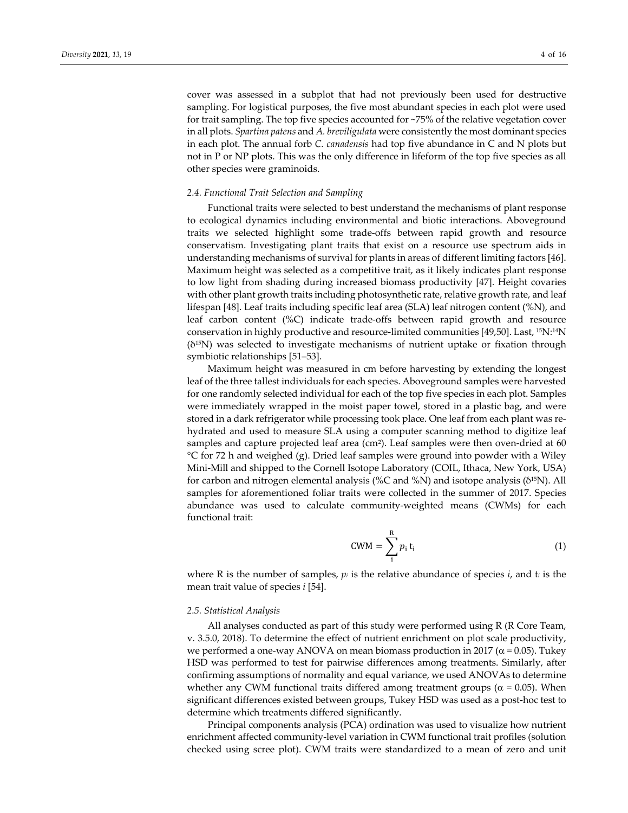cover was assessed in a subplot that had not previously been used for destructive sampling. For logistical purposes, the five most abundant species in each plot were used for trait sampling. The top five species accounted for ~75% of the relative vegetation cover in all plots. *Spartina patens* and *A. breviligulata* were consistently the most dominant species in each plot. The annual forb *C. canadensis* had top five abundance in C and N plots but not in P or NP plots. This was the only difference in lifeform of the top five species as all other species were graminoids.

## *2.4. Functional Trait Selection and Sampling*

Functional traits were selected to best understand the mechanisms of plant response to ecological dynamics including environmental and biotic interactions. Aboveground traits we selected highlight some trade‐offs between rapid growth and resource conservatism. Investigating plant traits that exist on a resource use spectrum aids in understanding mechanisms of survival for plants in areas of different limiting factors [46]. Maximum height was selected as a competitive trait, as it likely indicates plant response to low light from shading during increased biomass productivity [47]. Height covaries with other plant growth traits including photosynthetic rate, relative growth rate, and leaf lifespan [48]. Leaf traits including specific leaf area (SLA) leaf nitrogen content (%N), and leaf carbon content (%C) indicate trade‐offs between rapid growth and resource conservation in highly productive and resource-limited communities  $[49,50]$ . Last,  $^{15}N$ :  $^{14}N$ (δ15N) was selected to investigate mechanisms of nutrient uptake or fixation through symbiotic relationships [51–53].

Maximum height was measured in cm before harvesting by extending the longest leaf of the three tallest individuals for each species. Aboveground samples were harvested for one randomly selected individual for each of the top five species in each plot. Samples were immediately wrapped in the moist paper towel, stored in a plastic bag, and were stored in a dark refrigerator while processing took place. One leaf from each plant was re‐ hydrated and used to measure SLA using a computer scanning method to digitize leaf samples and capture projected leaf area (cm<sup>2</sup>). Leaf samples were then oven-dried at  $60$ °C for 72 h and weighed (g). Dried leaf samples were ground into powder with a Wiley Mini‐Mill and shipped to the Cornell Isotope Laboratory (COIL, Ithaca, New York, USA) for carbon and nitrogen elemental analysis (%C and %N) and isotope analysis (δ15N). All samples for aforementioned foliar traits were collected in the summer of 2017. Species abundance was used to calculate community‐weighted means (CWMs) for each functional trait:

$$
CWM = \sum_{i}^{R} p_i t_i
$$
 (1)

where R is the number of samples,  $p_i$  is the relative abundance of species  $i$ , and  $t_i$  is the mean trait value of species *i* [54].

#### *2.5. Statistical Analysis*

All analyses conducted as part of this study were performed using R (R Core Team, v. 3.5.0, 2018). To determine the effect of nutrient enrichment on plot scale productivity, we performed a one-way ANOVA on mean biomass production in 2017 ( $\alpha$  = 0.05). Tukey HSD was performed to test for pairwise differences among treatments. Similarly, after confirming assumptions of normality and equal variance, we used ANOVAs to determine whether any CWM functional traits differed among treatment groups ( $\alpha$  = 0.05). When significant differences existed between groups, Tukey HSD was used as a post-hoc test to determine which treatments differed significantly.

Principal components analysis (PCA) ordination was used to visualize how nutrient enrichment affected community‐level variation in CWM functional trait profiles (solution checked using scree plot). CWM traits were standardized to a mean of zero and unit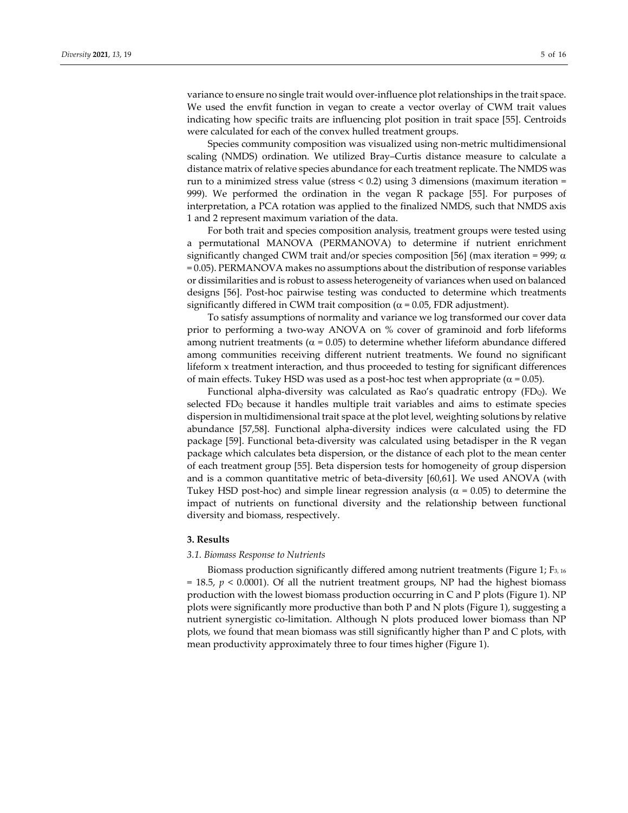variance to ensure no single trait would over-influence plot relationships in the trait space. We used the envfit function in vegan to create a vector overlay of CWM trait values indicating how specific traits are influencing plot position in trait space [55]. Centroids were calculated for each of the convex hulled treatment groups.

Species community composition was visualized using non‐metric multidimensional scaling (NMDS) ordination. We utilized Bray–Curtis distance measure to calculate a distance matrix of relative species abundance for each treatment replicate. The NMDS was run to a minimized stress value (stress  $< 0.2$ ) using 3 dimensions (maximum iteration = 999). We performed the ordination in the vegan R package [55]. For purposes of interpretation, a PCA rotation was applied to the finalized NMDS, such that NMDS axis 1 and 2 represent maximum variation of the data.

For both trait and species composition analysis, treatment groups were tested using a permutational MANOVA (PERMANOVA) to determine if nutrient enrichment significantly changed CWM trait and/or species composition [56] (max iteration = 999;  $\alpha$ = 0.05). PERMANOVA makes no assumptions about the distribution of response variables or dissimilarities and is robust to assess heterogeneity of variances when used on balanced designs [56]. Post‐hoc pairwise testing was conducted to determine which treatments significantly differed in CWM trait composition ( $\alpha$  = 0.05, FDR adjustment).

To satisfy assumptions of normality and variance we log transformed our cover data prior to performing a two‐way ANOVA on % cover of graminoid and forb lifeforms among nutrient treatments ( $\alpha$  = 0.05) to determine whether lifeform abundance differed among communities receiving different nutrient treatments. We found no significant lifeform x treatment interaction, and thus proceeded to testing for significant differences of main effects. Tukey HSD was used as a post-hoc test when appropriate ( $\alpha$  = 0.05).

Functional alpha-diversity was calculated as Rao's quadratic entropy ( $FDQ$ ). We selected  $FD_Q$  because it handles multiple trait variables and aims to estimate species dispersion in multidimensional trait space at the plot level, weighting solutions by relative abundance [57,58]. Functional alpha‐diversity indices were calculated using the FD package [59]. Functional beta‐diversity was calculated using betadisper in the R vegan package which calculates beta dispersion, or the distance of each plot to the mean center of each treatment group [55]. Beta dispersion tests for homogeneity of group dispersion and is a common quantitative metric of beta-diversity  $[60,61]$ . We used ANOVA (with Tukey HSD post-hoc) and simple linear regression analysis ( $\alpha$  = 0.05) to determine the impact of nutrients on functional diversity and the relationship between functional diversity and biomass, respectively.

## **3. Results**

#### *3.1. Biomass Response to Nutrients*

Biomass production significantly differed among nutrient treatments (Figure 1; F<sub>3, 16</sub>  $= 18.5$ ,  $p < 0.0001$ ). Of all the nutrient treatment groups, NP had the highest biomass production with the lowest biomass production occurring in C and P plots (Figure 1). NP plots were significantly more productive than both P and N plots (Figure 1), suggesting a nutrient synergistic co-limitation. Although N plots produced lower biomass than NP plots, we found that mean biomass was still significantly higher than P and C plots, with mean productivity approximately three to four times higher (Figure 1).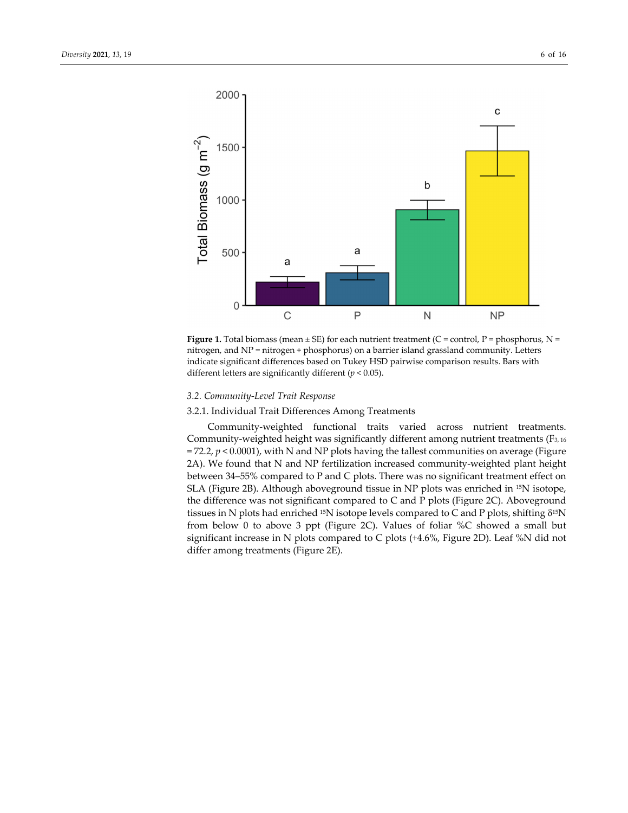



## *3.2. Community‐Level Trait Response*

# 3.2.1. Individual Trait Differences Among Treatments

Community‐weighted functional traits varied across nutrient treatments. Community-weighted height was significantly different among nutrient treatments (F<sub>3, 16</sub>)  $= 72.2$ ,  $p < 0.0001$ ), with N and NP plots having the tallest communities on average (Figure 2A). We found that N and NP fertilization increased community-weighted plant height between 34–55% compared to P and C plots. There was no significant treatment effect on SLA (Figure 2B). Although aboveground tissue in NP plots was enriched in 15N isotope, the difference was not significant compared to C and P plots (Figure 2C). Aboveground tissues in N plots had enriched <sup>15</sup>N isotope levels compared to C and P plots, shifting  $\delta^{15}N$ from below 0 to above 3 ppt (Figure 2C). Values of foliar %C showed a small but significant increase in N plots compared to C plots (+4.6%, Figure 2D). Leaf %N did not differ among treatments (Figure 2E).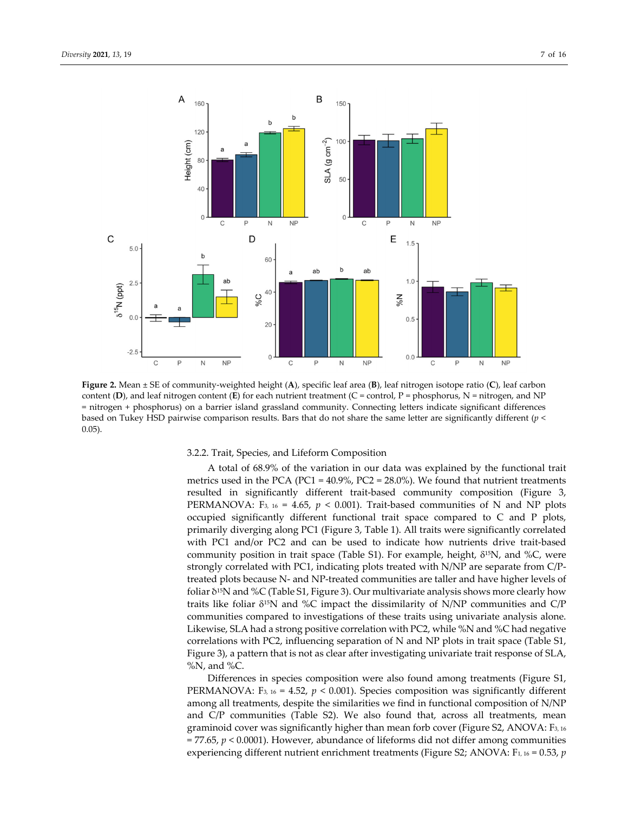

**Figure 2.** Mean ± SE of community‐weighted height (**A**), specific leaf area (**B**), leaf nitrogen isotope ratio (**C**), leaf carbon content  $(D)$ , and leaf nitrogen content  $(E)$  for each nutrient treatment  $(C = control, P = phosphorus, N = nitrogen, and NP$ = nitrogen + phosphorus) on a barrier island grassland community. Connecting letters indicate significant differences based on Tukey HSD pairwise comparison results. Bars that do not share the same letter are significantly different (*p* < 0.05).

#### 3.2.2. Trait, Species, and Lifeform Composition

A total of 68.9% of the variation in our data was explained by the functional trait metrics used in the PCA (PC1 =  $40.9\%$ , PC2 = 28.0%). We found that nutrient treatments resulted in significantly different trait‐based community composition (Figure 3, PERMANOVA: F<sub>3, 16</sub> = 4.65,  $p < 0.001$ ). Trait-based communities of N and NP plots occupied significantly different functional trait space compared to C and P plots, primarily diverging along PC1 (Figure 3, Table 1). All traits were significantly correlated with PC1 and/or PC2 and can be used to indicate how nutrients drive trait-based community position in trait space (Table S1). For example, height,  $\delta^{15}N$ , and %C, were strongly correlated with PC1, indicating plots treated with N/NP are separate from C/P‐ treated plots because N‐ and NP‐treated communities are taller and have higher levels of foliar δ15N and %C (Table S1, Figure 3). Our multivariate analysis shows more clearly how traits like foliar  $\delta^{15}N$  and %C impact the dissimilarity of N/NP communities and C/P communities compared to investigations of these traits using univariate analysis alone. Likewise, SLA had a strong positive correlation with PC2, while %N and %C had negative correlations with PC2, influencing separation of N and NP plots in trait space (Table S1, Figure 3), a pattern that is not as clear after investigating univariate trait response of SLA,  $%N$ , and  $%C$ .

Differences in species composition were also found among treatments (Figure S1, PERMANOVA: F<sub>3, 16</sub> = 4.52,  $p < 0.001$ ). Species composition was significantly different among all treatments, despite the similarities we find in functional composition of N/NP and C/P communities (Table S2). We also found that, across all treatments, mean graminoid cover was significantly higher than mean forb cover (Figure S2, ANOVA: F3, <sup>16</sup> = 77.65, *p* < 0.0001). However, abundance of lifeforms did not differ among communities experiencing different nutrient enrichment treatments (Figure S2; ANOVA: F<sub>1, 16</sub> = 0.53, *p*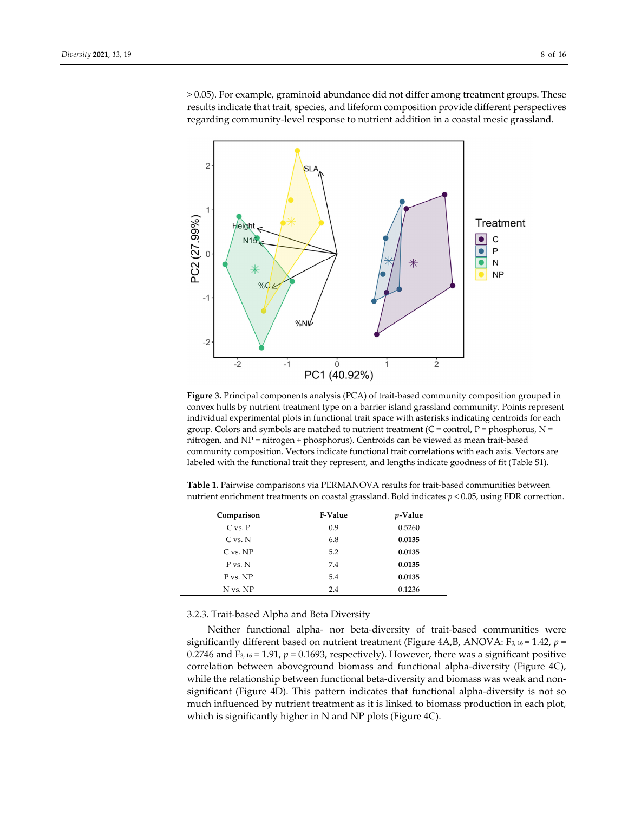> 0.05). For example, graminoid abundance did not differ among treatment groups. These results indicate that trait, species, and lifeform composition provide different perspectives regarding community‐level response to nutrient addition in a coastal mesic grassland.



**Figure 3.** Principal components analysis (PCA) of trait‐based community composition grouped in convex hulls by nutrient treatment type on a barrier island grassland community. Points represent individual experimental plots in functional trait space with asterisks indicating centroids for each group. Colors and symbols are matched to nutrient treatment (C = control, P = phosphorus,  $N =$ nitrogen, and NP = nitrogen + phosphorus). Centroids can be viewed as mean trait‐based community composition. Vectors indicate functional trait correlations with each axis. Vectors are labeled with the functional trait they represent, and lengths indicate goodness of fit (Table S1).

| Comparison   | <b>F-Value</b> | $p$ -Value |
|--------------|----------------|------------|
| $C$ vs. $P$  | 0.9            | 0.5260     |
| $C$ vs. $N$  | 6.8            | 0.0135     |
| $C$ vs. $NP$ | 5.2            | 0.0135     |

P vs. N 7.4 **0.0135** P vs. NP 5.4 **0.0135** N vs. NP 2.4 0.1236

**Table 1.** Pairwise comparisons via PERMANOVA results for trait‐based communities between nutrient enrichment treatments on coastal grassland. Bold indicates *p* < 0.05, using FDR correction.

3.2.3. Trait‐based Alpha and Beta Diversity

Neither functional alpha‐ nor beta‐diversity of trait‐based communities were significantly different based on nutrient treatment (Figure  $4A,B$ , ANOVA: F<sub>3</sub>, 16 = 1.42,  $p =$ 0.2746 and F<sub>3, 16</sub> = 1.91,  $p = 0.1693$ , respectively). However, there was a significant positive correlation between aboveground biomass and functional alpha-diversity (Figure 4C), while the relationship between functional beta-diversity and biomass was weak and nonsignificant (Figure 4D). This pattern indicates that functional alpha‐diversity is not so much influenced by nutrient treatment as it is linked to biomass production in each plot, which is significantly higher in N and NP plots (Figure 4C).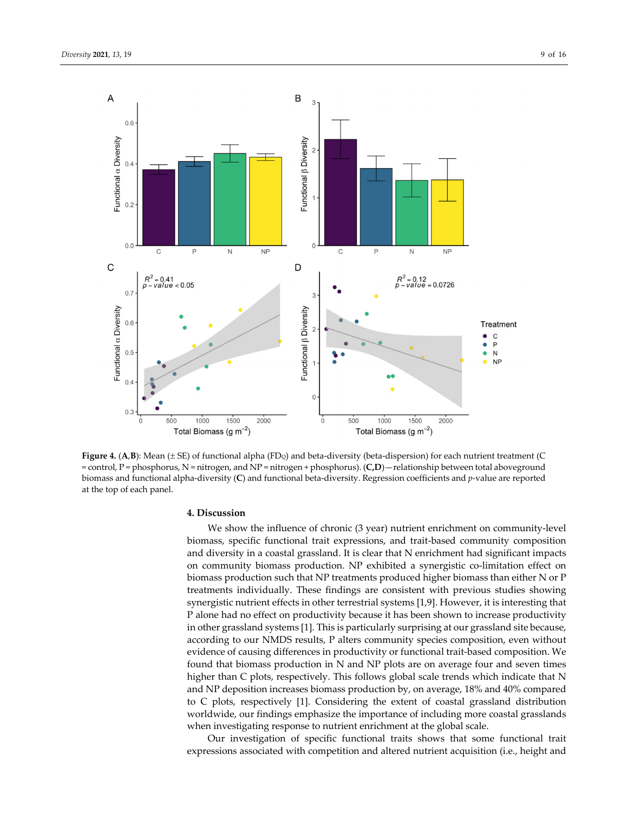

Figure 4. (A,B): Mean ( $\pm$  SE) of functional alpha (FD<sub>Q</sub>) and beta-diversity (beta-dispersion) for each nutrient treatment (C = control, P = phosphorus, N = nitrogen, and NP = nitrogen + phosphorus). (**C,D**)—relationship between total aboveground biomass and functional alpha‐diversity (**C**) and functional beta‐diversity. Regression coefficients and *p*‐value are reported at the top of each panel.

## **4. Discussion**

We show the influence of chronic (3 year) nutrient enrichment on community-level biomass, specific functional trait expressions, and trait‐based community composition and diversity in a coastal grassland. It is clear that N enrichment had significant impacts on community biomass production. NP exhibited a synergistic co‐limitation effect on biomass production such that NP treatments produced higher biomass than either N or P treatments individually. These findings are consistent with previous studies showing synergistic nutrient effects in other terrestrial systems [1,9]. However, it is interesting that P alone had no effect on productivity because it has been shown to increase productivity in other grassland systems [1]. This is particularly surprising at our grassland site because, according to our NMDS results, P alters community species composition, even without evidence of causing differences in productivity or functional trait‐based composition. We found that biomass production in N and NP plots are on average four and seven times higher than C plots, respectively. This follows global scale trends which indicate that N and NP deposition increases biomass production by, on average, 18% and 40% compared to C plots, respectively [1]. Considering the extent of coastal grassland distribution worldwide, our findings emphasize the importance of including more coastal grasslands when investigating response to nutrient enrichment at the global scale.

Our investigation of specific functional traits shows that some functional trait expressions associated with competition and altered nutrient acquisition (i.e., height and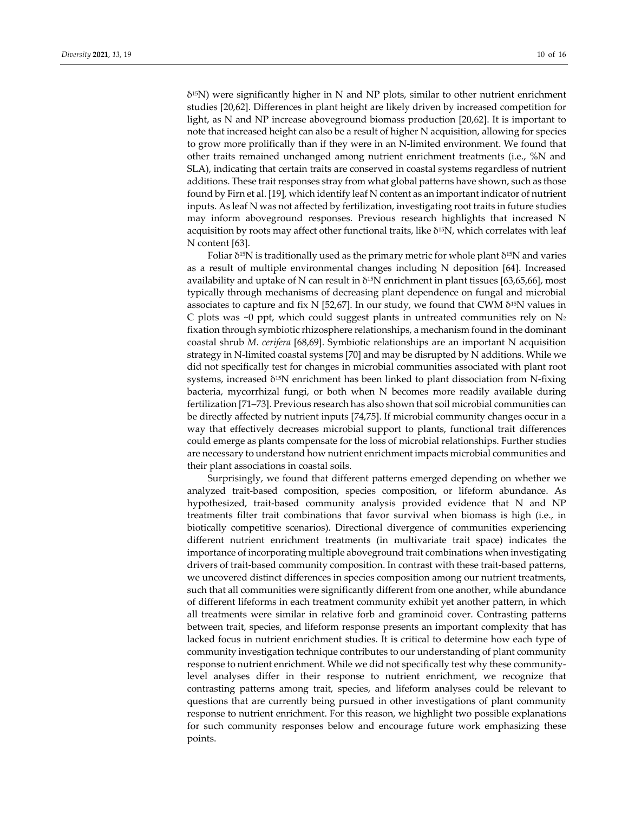$\delta$ <sup>15</sup>N) were significantly higher in N and NP plots, similar to other nutrient enrichment studies [20,62]. Differences in plant height are likely driven by increased competition for light, as N and NP increase aboveground biomass production [20,62]. It is important to note that increased height can also be a result of higher N acquisition, allowing for species to grow more prolifically than if they were in an N‐limited environment. We found that other traits remained unchanged among nutrient enrichment treatments (i.e., %N and SLA), indicating that certain traits are conserved in coastal systems regardless of nutrient additions. These trait responses stray from what global patterns have shown, such as those found by Firn et al. [19], which identify leaf N content as an important indicator of nutrient inputs. As leaf N was not affected by fertilization, investigating root traits in future studies may inform aboveground responses. Previous research highlights that increased N acquisition by roots may affect other functional traits, like δ<sup>15</sup>N, which correlates with leaf N content [63].

Foliar  $\delta^{15}N$  is traditionally used as the primary metric for whole plant  $\delta^{15}N$  and varies as a result of multiple environmental changes including N deposition [64]. Increased availability and uptake of N can result in  $\delta^{15}$ N enrichment in plant tissues [63,65,66], most typically through mechanisms of decreasing plant dependence on fungal and microbial associates to capture and fix N [52,67]. In our study, we found that CWM  $\delta^{15}N$  values in C plots was  $\sim$ 0 ppt, which could suggest plants in untreated communities rely on N<sub>2</sub> fixation through symbiotic rhizosphere relationships, a mechanism found in the dominant coastal shrub *M. cerifera* [68,69]. Symbiotic relationships are an important N acquisition strategy in N‐limited coastal systems [70] and may be disrupted by N additions. While we did not specifically test for changes in microbial communities associated with plant root systems, increased  $\delta^{15}N$  enrichment has been linked to plant dissociation from N-fixing bacteria, mycorrhizal fungi, or both when N becomes more readily available during fertilization [71–73]. Previous research has also shown that soil microbial communities can be directly affected by nutrient inputs [74,75]. If microbial community changes occur in a way that effectively decreases microbial support to plants, functional trait differences could emerge as plants compensate for the loss of microbial relationships. Further studies are necessary to understand how nutrient enrichment impacts microbial communities and their plant associations in coastal soils.

Surprisingly, we found that different patterns emerged depending on whether we analyzed trait‐based composition, species composition, or lifeform abundance. As hypothesized, trait‐based community analysis provided evidence that N and NP treatments filter trait combinations that favor survival when biomass is high (i.e., in biotically competitive scenarios). Directional divergence of communities experiencing different nutrient enrichment treatments (in multivariate trait space) indicates the importance of incorporating multiple aboveground trait combinations when investigating drivers of trait‐based community composition. In contrast with these trait‐based patterns, we uncovered distinct differences in species composition among our nutrient treatments, such that all communities were significantly different from one another, while abundance of different lifeforms in each treatment community exhibit yet another pattern, in which all treatments were similar in relative forb and graminoid cover. Contrasting patterns between trait, species, and lifeform response presents an important complexity that has lacked focus in nutrient enrichment studies. It is critical to determine how each type of community investigation technique contributes to our understanding of plant community response to nutrient enrichment. While we did not specifically test why these community‐ level analyses differ in their response to nutrient enrichment, we recognize that contrasting patterns among trait, species, and lifeform analyses could be relevant to questions that are currently being pursued in other investigations of plant community response to nutrient enrichment. For this reason, we highlight two possible explanations for such community responses below and encourage future work emphasizing these points.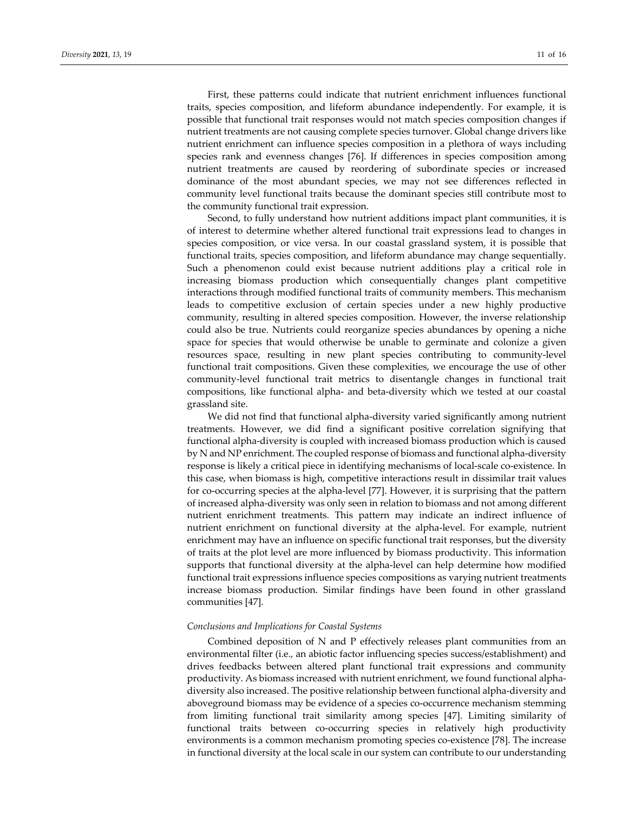First, these patterns could indicate that nutrient enrichment influences functional traits, species composition, and lifeform abundance independently. For example, it is possible that functional trait responses would not match species composition changes if nutrient treatments are not causing complete species turnover. Global change drivers like nutrient enrichment can influence species composition in a plethora of ways including species rank and evenness changes [76]. If differences in species composition among nutrient treatments are caused by reordering of subordinate species or increased dominance of the most abundant species, we may not see differences reflected in community level functional traits because the dominant species still contribute most to the community functional trait expression.

Second, to fully understand how nutrient additions impact plant communities, it is of interest to determine whether altered functional trait expressions lead to changes in species composition, or vice versa. In our coastal grassland system, it is possible that functional traits, species composition, and lifeform abundance may change sequentially. Such a phenomenon could exist because nutrient additions play a critical role in increasing biomass production which consequentially changes plant competitive interactions through modified functional traits of community members. This mechanism leads to competitive exclusion of certain species under a new highly productive community, resulting in altered species composition. However, the inverse relationship could also be true. Nutrients could reorganize species abundances by opening a niche space for species that would otherwise be unable to germinate and colonize a given resources space, resulting in new plant species contributing to community-level functional trait compositions. Given these complexities, we encourage the use of other community‐level functional trait metrics to disentangle changes in functional trait compositions, like functional alpha‐ and beta‐diversity which we tested at our coastal grassland site.

We did not find that functional alpha-diversity varied significantly among nutrient treatments. However, we did find a significant positive correlation signifying that functional alpha‐diversity is coupled with increased biomass production which is caused by N and NP enrichment. The coupled response of biomass and functional alpha‐diversity response is likely a critical piece in identifying mechanisms of local-scale co-existence. In this case, when biomass is high, competitive interactions result in dissimilar trait values for co‐occurring species at the alpha‐level [77]. However, it is surprising that the pattern of increased alpha‐diversity was only seen in relation to biomass and not among different nutrient enrichment treatments. This pattern may indicate an indirect influence of nutrient enrichment on functional diversity at the alpha‐level. For example, nutrient enrichment may have an influence on specific functional trait responses, but the diversity of traits at the plot level are more influenced by biomass productivity. This information supports that functional diversity at the alpha‐level can help determine how modified functional trait expressions influence species compositions as varying nutrient treatments increase biomass production. Similar findings have been found in other grassland communities [47].

## *Conclusions and Implications for Coastal Systems*

Combined deposition of N and P effectively releases plant communities from an environmental filter (i.e., an abiotic factor influencing species success/establishment) and drives feedbacks between altered plant functional trait expressions and community productivity. As biomass increased with nutrient enrichment, we found functional alphadiversity also increased. The positive relationship between functional alpha‐diversity and aboveground biomass may be evidence of a species co‐occurrence mechanism stemming from limiting functional trait similarity among species [47]. Limiting similarity of functional traits between co-occurring species in relatively high productivity environments is a common mechanism promoting species co-existence [78]. The increase in functional diversity at the local scale in our system can contribute to our understanding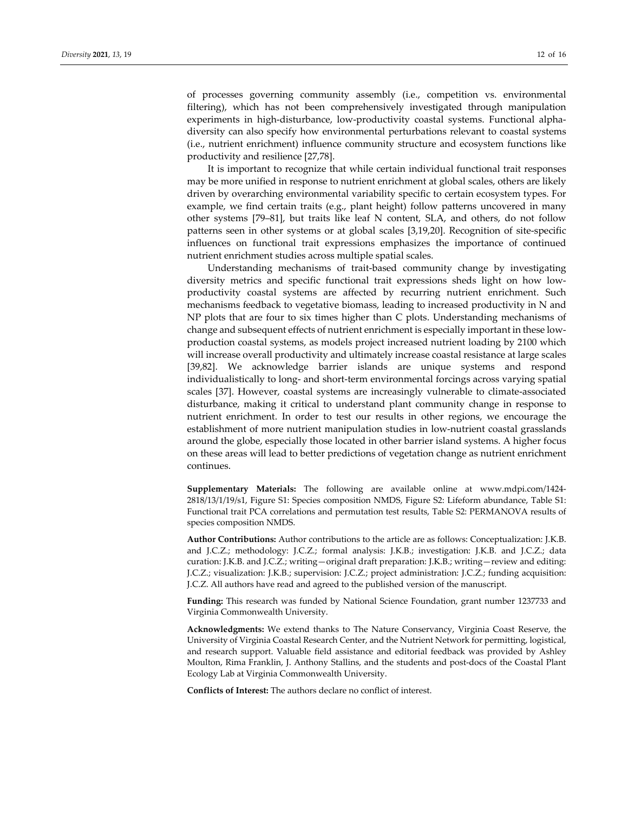of processes governing community assembly (i.e., competition vs. environmental filtering), which has not been comprehensively investigated through manipulation experiments in high-disturbance, low-productivity coastal systems. Functional alphadiversity can also specify how environmental perturbations relevant to coastal systems (i.e., nutrient enrichment) influence community structure and ecosystem functions like productivity and resilience [27,78].

It is important to recognize that while certain individual functional trait responses may be more unified in response to nutrient enrichment at global scales, others are likely driven by overarching environmental variability specific to certain ecosystem types. For example, we find certain traits (e.g., plant height) follow patterns uncovered in many other systems [79–81], but traits like leaf N content, SLA, and others, do not follow patterns seen in other systems or at global scales [3,19,20]. Recognition of site‐specific influences on functional trait expressions emphasizes the importance of continued nutrient enrichment studies across multiple spatial scales.

Understanding mechanisms of trait‐based community change by investigating diversity metrics and specific functional trait expressions sheds light on how low‐ productivity coastal systems are affected by recurring nutrient enrichment. Such mechanisms feedback to vegetative biomass, leading to increased productivity in N and NP plots that are four to six times higher than C plots. Understanding mechanisms of change and subsequent effects of nutrient enrichment is especially important in these low‐ production coastal systems, as models project increased nutrient loading by 2100 which will increase overall productivity and ultimately increase coastal resistance at large scales [39,82]. We acknowledge barrier islands are unique systems and respond individualistically to long‐ and short‐term environmental forcings across varying spatial scales [37]. However, coastal systems are increasingly vulnerable to climate-associated disturbance, making it critical to understand plant community change in response to nutrient enrichment. In order to test our results in other regions, we encourage the establishment of more nutrient manipulation studies in low‐nutrient coastal grasslands around the globe, especially those located in other barrier island systems. A higher focus on these areas will lead to better predictions of vegetation change as nutrient enrichment continues.

**Supplementary Materials:** The following are available online at www.mdpi.com/1424‐ 2818/13/1/19/s1, Figure S1: Species composition NMDS, Figure S2: Lifeform abundance, Table S1: Functional trait PCA correlations and permutation test results, Table S2: PERMANOVA results of species composition NMDS.

**Author Contributions:** Author contributions to the article are as follows: Conceptualization: J.K.B. and J.C.Z.; methodology: J.C.Z.; formal analysis: J.K.B.; investigation: J.K.B. and J.C.Z.; data curation: J.K.B. and J.C.Z.; writing—original draft preparation: J.K.B.; writing—review and editing: J.C.Z.; visualization: J.K.B.; supervision: J.C.Z.; project administration: J.C.Z.; funding acquisition: J.C.Z. All authors have read and agreed to the published version of the manuscript.

**Funding:** This research was funded by National Science Foundation, grant number 1237733 and Virginia Commonwealth University.

**Acknowledgments:** We extend thanks to The Nature Conservancy, Virginia Coast Reserve, the University of Virginia Coastal Research Center, and the Nutrient Network for permitting, logistical, and research support. Valuable field assistance and editorial feedback was provided by Ashley Moulton, Rima Franklin, J. Anthony Stallins, and the students and post‐docs of the Coastal Plant Ecology Lab at Virginia Commonwealth University.

**Conflicts of Interest:** The authors declare no conflict of interest.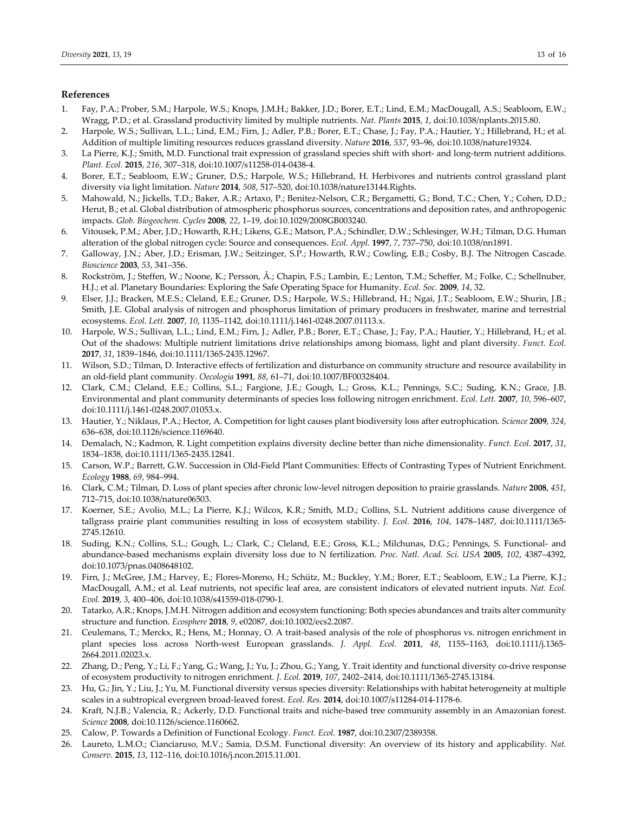## **References**

- 1. Fay, P.A.; Prober, S.M.; Harpole, W.S.; Knops, J.M.H.; Bakker, J.D.; Borer, E.T.; Lind, E.M.; MacDougall, A.S.; Seabloom, E.W.; Wragg, P.D.; et al. Grassland productivity limited by multiple nutrients. *Nat. Plants* **2015**, *1*, doi:10.1038/nplants.2015.80.
- 2. Harpole, W.S.; Sullivan, L.L.; Lind, E.M.; Firn, J.; Adler, P.B.; Borer, E.T.; Chase, J.; Fay, P.A.; Hautier, Y.; Hillebrand, H.; et al. Addition of multiple limiting resources reduces grassland diversity. *Nature* **2016**, *537*, 93–96, doi:10.1038/nature19324.
- 3. La Pierre, K.J.; Smith, M.D. Functional trait expression of grassland species shift with short- and long-term nutrient additions. *Plant. Ecol.* **2015**, *216*, 307–318, doi:10.1007/s11258‐014‐0438‐4.
- 4. Borer, E.T.; Seabloom, E.W.; Gruner, D.S.; Harpole, W.S.; Hillebrand, H. Herbivores and nutrients control grassland plant diversity via light limitation. *Nature* **2014**, *508*, 517–520, doi:10.1038/nature13144.Rights.
- 5. Mahowald, N.; Jickells, T.D.; Baker, A.R.; Artaxo, P.; Benitez-Nelson, C.R.; Bergametti, G.; Bond, T.C.; Chen, Y.; Cohen, D.D.; Herut, B.; et al. Global distribution of atmospheric phosphorus sources, concentrations and deposition rates, and anthropogenic impacts. *Glob. Biogeochem. Cycles* **2008**, *22*, 1–19, doi:10.1029/2008GB003240.
- 6. Vitousek, P.M.; Aber, J.D.; Howarth, R.H.; Likens, G.E.; Matson, P.A.; Schindler, D.W.; Schlesinger, W.H.; Tilman, D.G. Human alteration of the global nitrogen cycle: Source and consequences. *Ecol. Appl.* **1997**, *7*, 737–750, doi:10.1038/nn1891.
- 7. Galloway, J.N.; Aber, J.D.; Erisman, J.W.; Seitzinger, S.P.; Howarth, R.W.; Cowling, E.B.; Cosby, B.J. The Nitrogen Cascade. *Bioscience* **2003**, *53*, 341–356.
- 8. Rockström, J.; Steffen, W.; Noone, K.; Persson, Å.; Chapin, F.S.; Lambin, E.; Lenton, T.M.; Scheffer, M.; Folke, C.; Schellnuber, H.J.; et al. Planetary Boundaries: Exploring the Safe Operating Space for Humanity. *Ecol. Soc.* **2009**, *14*, 32.
- 9. Elser, J.J.; Bracken, M.E.S.; Cleland, E.E.; Gruner, D.S.; Harpole, W.S.; Hillebrand, H.; Ngai, J.T.; Seabloom, E.W.; Shurin, J.B.; Smith, J.E. Global analysis of nitrogen and phosphorus limitation of primary producers in freshwater, marine and terrestrial ecosystems. *Ecol. Lett.* **2007**, *10*, 1135–1142, doi:10.1111/j.1461‐0248.2007.01113.x.
- 10. Harpole, W.S.; Sullivan, L.L.; Lind, E.M.; Firn, J.; Adler, P.B.; Borer, E.T.; Chase, J.; Fay, P.A.; Hautier, Y.; Hillebrand, H.; et al. Out of the shadows: Multiple nutrient limitations drive relationships among biomass, light and plant diversity. *Funct. Ecol.* **2017**, *31*, 1839–1846, doi:10.1111/1365‐2435.12967.
- 11. Wilson, S.D.; Tilman, D. Interactive effects of fertilization and disturbance on community structure and resource availability in an old‐field plant community. *Oecologia* **1991**, *88*, 61–71, doi:10.1007/BF00328404.
- 12. Clark, C.M.; Cleland, E.E.; Collins, S.L.; Fargione, J.E.; Gough, L.; Gross, K.L.; Pennings, S.C.; Suding, K.N.; Grace, J.B. Environmental and plant community determinants of species loss following nitrogen enrichment. *Ecol. Lett.* **2007**, *10*, 596–607, doi:10.1111/j.1461‐0248.2007.01053.x.
- 13. Hautier, Y.; Niklaus, P.A.; Hector, A. Competition for light causes plant biodiversity loss after eutrophication. *Science* **2009**, *324*, 636–638, doi:10.1126/science.1169640.
- 14. Demalach, N.; Kadmon, R. Light competition explains diversity decline better than niche dimensionality. *Funct. Ecol.* **2017**, *31*, 1834–1838, doi:10.1111/1365‐2435.12841.
- 15. Carson, W.P.; Barrett, G.W. Succession in Old‐Field Plant Communities: Effects of Contrasting Types of Nutrient Enrichment. *Ecology* **1988**, *69*, 984–994.
- 16. Clark, C.M.; Tilman, D. Loss of plant species after chronic low‐level nitrogen deposition to prairie grasslands. *Nature* **2008**, *451*, 712–715, doi:10.1038/nature06503.
- 17. Koerner, S.E.; Avolio, M.L.; La Pierre, K.J.; Wilcox, K.R.; Smith, M.D.; Collins, S.L. Nutrient additions cause divergence of tallgrass prairie plant communities resulting in loss of ecosystem stability. *J. Ecol.* **2016**, *104*, 1478–1487, doi:10.1111/1365‐ 2745.12610.
- 18. Suding, K.N.; Collins, S.L.; Gough, L.; Clark, C.; Cleland, E.E.; Gross, K.L.; Milchunas, D.G.; Pennings, S. Functional‐ and abundance‐based mechanisms explain diversity loss due to N fertilization. *Proc. Natl. Acad. Sci. USA* **2005**, *102*, 4387–4392, doi:10.1073/pnas.0408648102.
- 19. Firn, J.; McGree, J.M.; Harvey, E.; Flores-Moreno, H.; Schütz, M.; Buckley, Y.M.; Borer, E.T.; Seabloom, E.W.; La Pierre, K.J.; MacDougall, A.M.; et al. Leaf nutrients, not specific leaf area, are consistent indicators of elevated nutrient inputs. *Nat. Ecol. Evol.* **2019**, *3*, 400–406, doi:10.1038/s41559‐018‐0790‐1.
- 20. Tatarko, A.R.; Knops, J.M.H. Nitrogen addition and ecosystem functioning: Both species abundances and traits alter community structure and function. *Ecosphere* **2018**, *9*, e02087, doi:10.1002/ecs2.2087.
- 21. Ceulemans, T.; Merckx, R.; Hens, M.; Honnay, O. A trait‐based analysis of the role of phosphorus vs. nitrogen enrichment in plant species loss across North‐west European grasslands. *J. Appl. Ecol.* **2011**, *48*, 1155–1163, doi:10.1111/j.1365‐ 2664.2011.02023.x.
- 22. Zhang, D.; Peng, Y.; Li, F.; Yang, G.; Wang, J.; Yu, J.; Zhou, G.; Yang, Y. Trait identity and functional diversity co-drive response of ecosystem productivity to nitrogen enrichment. *J. Ecol.* **2019**, *107*, 2402–2414, doi:10.1111/1365‐2745.13184.
- 23. Hu, G.; Jin, Y.; Liu, J.; Yu, M. Functional diversity versus species diversity: Relationships with habitat heterogeneity at multiple scales in a subtropical evergreen broad‐leaved forest. *Ecol. Res.* **2014**, doi:10.1007/s11284‐014‐1178‐6.
- 24. Kraft, N.J.B.; Valencia, R.; Ackerly, D.D. Functional traits and niche‐based tree community assembly in an Amazonian forest. *Science* **2008**, doi:10.1126/science.1160662.
- 25. Calow, P. Towards a Definition of Functional Ecology. *Funct. Ecol.* **1987**, doi:10.2307/2389358.
- 26. Laureto, L.M.O.; Cianciaruso, M.V.; Samia, D.S.M. Functional diversity: An overview of its history and applicability. *Nat. Conserv.* **2015**, *13*, 112–116, doi:10.1016/j.ncon.2015.11.001.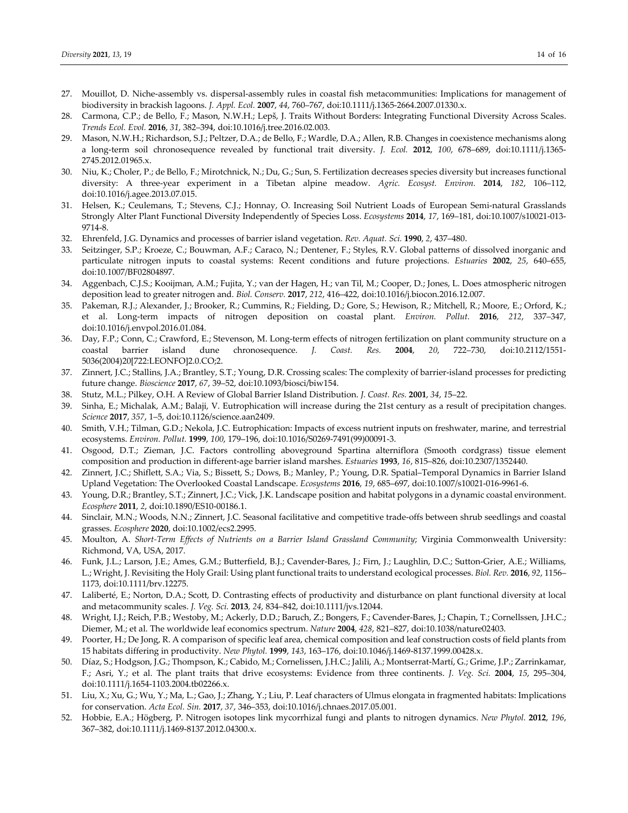- 27. Mouillot, D. Niche-assembly vs. dispersal-assembly rules in coastal fish metacommunities: Implications for management of biodiversity in brackish lagoons. *J. Appl. Ecol.* **2007**, *44*, 760–767, doi:10.1111/j.1365‐2664.2007.01330.x.
- 28. Carmona, C.P.; de Bello, F.; Mason, N.W.H.; Lepš, J. Traits Without Borders: Integrating Functional Diversity Across Scales. *Trends Ecol. Evol.* **2016**, *31*, 382–394, doi:10.1016/j.tree.2016.02.003.
- 29. Mason, N.W.H.; Richardson, S.J.; Peltzer, D.A.; de Bello, F.; Wardle, D.A.; Allen, R.B. Changes in coexistence mechanisms along a long‐term soil chronosequence revealed by functional trait diversity. *J. Ecol.* **2012**, *100*, 678–689, doi:10.1111/j.1365‐ 2745.2012.01965.x.
- 30. Niu, K.; Choler, P.; de Bello, F.; Mirotchnick, N.; Du, G.; Sun, S. Fertilization decreases species diversity but increases functional diversity: A three‐year experiment in a Tibetan alpine meadow. *Agric. Ecosyst. Environ.* **2014**, *182*, 106–112, doi:10.1016/j.agee.2013.07.015.
- 31. Helsen, K.; Ceulemans, T.; Stevens, C.J.; Honnay, O. Increasing Soil Nutrient Loads of European Semi‐natural Grasslands Strongly Alter Plant Functional Diversity Independently of Species Loss. *Ecosystems* **2014**, *17*, 169–181, doi:10.1007/s10021‐013‐ 9714‐8.
- 32. Ehrenfeld, J.G. Dynamics and processes of barrier island vegetation. *Rev. Aquat. Sci.* **1990**, *2*, 437–480.
- 33. Seitzinger, S.P.; Kroeze, C.; Bouwman, A.F.; Caraco, N.; Dentener, F.; Styles, R.V. Global patterns of dissolved inorganic and particulate nitrogen inputs to coastal systems: Recent conditions and future projections. *Estuaries* **2002**, *25*, 640–655, doi:10.1007/BF02804897.
- 34. Aggenbach, C.J.S.; Kooijman, A.M.; Fujita, Y.; van der Hagen, H.; van Til, M.; Cooper, D.; Jones, L. Does atmospheric nitrogen deposition lead to greater nitrogen and. *Biol. Conserv.* **2017**, *212*, 416–422, doi:10.1016/j.biocon.2016.12.007.
- 35. Pakeman, R.J.; Alexander, J.; Brooker, R.; Cummins, R.; Fielding, D.; Gore, S.; Hewison, R.; Mitchell, R.; Moore, E.; Orford, K.; et al. Long‐term impacts of nitrogen deposition on coastal plant. *Environ. Pollut.* **2016**, *212*, 337–347, doi:10.1016/j.envpol.2016.01.084.
- 36. Day, F.P.; Conn, C.; Crawford, E.; Stevenson, M. Long‐term effects of nitrogen fertilization on plant community structure on a coastal barrier island dune chronosequence. *J. Coast. Res.* **2004**, *20*, 722–730, doi:10.2112/1551‐ 5036(2004)20[722:LEONFO]2.0.CO;2.
- 37. Zinnert, J.C.; Stallins, J.A.; Brantley, S.T.; Young, D.R. Crossing scales: The complexity of barrier‐island processes for predicting future change. *Bioscience* **2017**, *67*, 39–52, doi:10.1093/biosci/biw154.
- 38. Stutz, M.L.; Pilkey, O.H. A Review of Global Barrier Island Distribution. *J. Coast. Res.* **2001**, *34*, *1*5–22.
- 39. Sinha, E.; Michalak, A.M.; Balaji, V. Eutrophication will increase during the 21st century as a result of precipitation changes. *Science* **2017**, *357*, 1–5, doi:10.1126/science.aan2409.
- 40. Smith, V.H.; Tilman, G.D.; Nekola, J.C. Eutrophication: Impacts of excess nutrient inputs on freshwater, marine, and terrestrial ecosystems. *Environ. Pollut.* **1999**, *100*, 179–196, doi:10.1016/S0269‐7491(99)00091‐3.
- 41. Osgood, D.T.; Zieman, J.C. Factors controlling aboveground Spartina alterniflora (Smooth cordgrass) tissue element composition and production in different‐age barrier island marshes. *Estuaries* **1993**, *16*, 815–826, doi:10.2307/1352440.
- 42. Zinnert, J.C.; Shiflett, S.A.; Via, S.; Bissett, S.; Dows, B.; Manley, P.; Young, D.R. Spatial–Temporal Dynamics in Barrier Island Upland Vegetation: The Overlooked Coastal Landscape. *Ecosystems* **2016**, *19*, 685–697, doi:10.1007/s10021‐016‐9961‐6.
- 43. Young, D.R.; Brantley, S.T.; Zinnert, J.C.; Vick, J.K. Landscape position and habitat polygons in a dynamic coastal environment. *Ecosphere* **2011**, *2*, doi:10.1890/ES10‐00186.1.
- 44. Sinclair, M.N.; Woods, N.N.; Zinnert, J.C. Seasonal facilitative and competitive trade‐offs between shrub seedlings and coastal grasses. *Ecosphere* **2020**, doi:10.1002/ecs2.2995.
- 45. Moulton, A. *Short‐Term Effects of Nutrients on a Barrier Island Grassland Community*; Virginia Commonwealth University: Richmond, VA, USA, 2017.
- 46. Funk, J.L.; Larson, J.E.; Ames, G.M.; Butterfield, B.J.; Cavender‐Bares, J.; Firn, J.; Laughlin, D.C.; Sutton‐Grier, A.E.; Williams, L.; Wright, J. Revisiting the Holy Grail: Using plant functional traits to understand ecological processes. *Biol. Rev.* **2016**, *92*, 1156– 1173, doi:10.1111/brv.12275.
- 47. Laliberté, E.; Norton, D.A.; Scott, D. Contrasting effects of productivity and disturbance on plant functional diversity at local and metacommunity scales. *J. Veg. Sci.* **2013**, *24*, 834–842, doi:10.1111/jvs.12044.
- 48. Wright, I.J.; Reich, P.B.; Westoby, M.; Ackerly, D.D.; Baruch, Z.; Bongers, F.; Cavender‐Bares, J.; Chapin, T.; Cornellssen, J.H.C.; Diemer, M.; et al. The worldwide leaf economics spectrum. *Nature* **2004**, *428*, 821–827, doi:10.1038/nature02403.
- 49. Poorter, H.; De Jong, R. A comparison of specific leaf area, chemical composition and leaf construction costs of field plants from 15 habitats differing in productivity. *New Phytol.* **1999**, *143*, 163–176, doi:10.1046/j.1469‐8137.1999.00428.x.
- 50. Díaz, S.; Hodgson, J.G.; Thompson, K.; Cabido, M.; Cornelissen, J.H.C.; Jalili, A.; Montserrat‐Martí, G.; Grime, J.P.; Zarrinkamar, F.; Asri, Y.; et al. The plant traits that drive ecosystems: Evidence from three continents. *J. Veg. Sci.* **2004**, *15*, 295–304, doi:10.1111/j.1654‐1103.2004.tb02266.x.
- 51. Liu, X.; Xu, G.; Wu, Y.; Ma, L.; Gao, J.; Zhang, Y.; Liu, P. Leaf characters of Ulmus elongata in fragmented habitats: Implications for conservation. *Acta Ecol. Sin.* **2017**, *37*, 346–353, doi:10.1016/j.chnaes.2017.05.001.
- 52. Hobbie, E.A.; Högberg, P. Nitrogen isotopes link mycorrhizal fungi and plants to nitrogen dynamics. *New Phytol.* **2012**, *196*, 367–382, doi:10.1111/j.1469‐8137.2012.04300.x.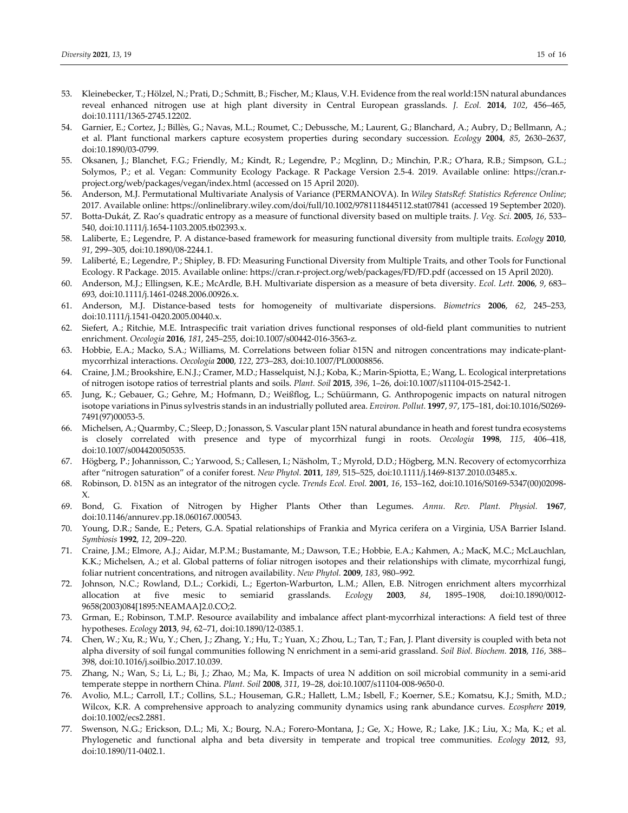- 53. Kleinebecker, T.; Hölzel, N.; Prati, D.; Schmitt, B.; Fischer, M.; Klaus, V.H. Evidence from the real world:15N natural abundances reveal enhanced nitrogen use at high plant diversity in Central European grasslands. *J. Ecol.* **2014**, *102*, 456–465, doi:10.1111/1365‐2745.12202.
- 54. Garnier, E.; Cortez, J.; Billès, G.; Navas, M.L.; Roumet, C.; Debussche, M.; Laurent, G.; Blanchard, A.; Aubry, D.; Bellmann, A.; et al. Plant functional markers capture ecosystem properties during secondary succession. *Ecology* **2004**, *85*, 2630–2637, doi:10.1890/03‐0799.
- 55. Oksanen, J.; Blanchet, F.G.; Friendly, M.; Kindt, R.; Legendre, P.; Mcglinn, D.; Minchin, P.R.; O'hara, R.B.; Simpson, G.L.; Solymos, P.; et al. Vegan: Community Ecology Package. R Package Version 2.5‐4. 2019. Available online: https://cran.r‐ project.org/web/packages/vegan/index.html (accessed on 15 April 2020).
- 56. Anderson, M.J. Permutational Multivariate Analysis of Variance (PERMANOVA). In *Wiley StatsRef: Statistics Reference Online*; 2017. Available online: https://onlinelibrary.wiley.com/doi/full/10.1002/9781118445112.stat07841 (accessed 19 September 2020).
- 57. Botta‐Dukát, Z. Rao's quadratic entropy as a measure of functional diversity based on multiple traits. *J. Veg. Sci.* **2005**, *16*, 533– 540, doi:10.1111/j.1654‐1103.2005.tb02393.x.
- 58. Laliberte, E.; Legendre, P. A distance‐based framework for measuring functional diversity from multiple traits. *Ecology* **2010**, *91*, 299–305, doi:10.1890/08‐2244.1.
- 59. Laliberté, E.; Legendre, P.; Shipley, B. FD: Measuring Functional Diversity from Multiple Traits, and other Tools for Functional Ecology. R Package. 2015. Available online: https://cran.r‐project.org/web/packages/FD/FD.pdf (accessed on 15 April 2020).
- 60. Anderson, M.J.; Ellingsen, K.E.; McArdle, B.H. Multivariate dispersion as a measure of beta diversity. *Ecol. Lett.* **2006**, *9*, 683– 693, doi:10.1111/j.1461‐0248.2006.00926.x.
- 61. Anderson, M.J. Distance‐based tests for homogeneity of multivariate dispersions. *Biometrics* **2006**, *62*, 245–253, doi:10.1111/j.1541‐0420.2005.00440.x.
- 62. Siefert, A.; Ritchie, M.E. Intraspecific trait variation drives functional responses of old‐field plant communities to nutrient enrichment. *Oecologia* **2016**, *181*, 245–255, doi:10.1007/s00442‐016‐3563‐z.
- 63. Hobbie, E.A.; Macko, S.A.; Williams, M. Correlations between foliar δ15N and nitrogen concentrations may indicate‐plant‐ mycorrhizal interactions. *Oecologia* **2000**, *122*, 273–283, doi:10.1007/PL00008856.
- 64. Craine, J.M.; Brookshire, E.N.J.; Cramer, M.D.; Hasselquist, N.J.; Koba, K.; Marin‐Spiotta, E.; Wang, L. Ecological interpretations of nitrogen isotope ratios of terrestrial plants and soils. *Plant. Soil* **2015**, *396*, 1–26, doi:10.1007/s11104‐015‐2542‐1.
- 65. Jung, K.; Gebauer, G.; Gehre, M.; Hofmann, D.; Weißflog, L.; Schüürmann, G. Anthropogenic impacts on natural nitrogen isotope variations in Pinus sylvestris stands in an industrially polluted area. *Environ. Pollut.* **1997**, *97*, 175–181, doi:10.1016/S0269‐ 7491(97)00053‐5.
- 66. Michelsen, A.; Quarmby, C.; Sleep, D.; Jonasson, S. Vascular plant 15N natural abundance in heath and forest tundra ecosystems is closely correlated with presence and type of mycorrhizal fungi in roots. *Oecologia* **1998**, *115*, 406–418, doi:10.1007/s004420050535.
- 67. Högberg, P.; Johannisson, C.; Yarwood, S.; Callesen, I.; Näsholm, T.; Myrold, D.D.; Högberg, M.N. Recovery of ectomycorrhiza after "nitrogen saturation" of a conifer forest. *New Phytol.* **2011**, *189*, 515–525, doi:10.1111/j.1469‐8137.2010.03485.x.
- 68. Robinson, D. δ15N as an integrator of the nitrogen cycle. *Trends Ecol. Evol.* **2001**, *16*, 153–162, doi:10.1016/S0169‐5347(00)02098‐ X.
- 69. Bond, G. Fixation of Nitrogen by Higher Plants Other than Legumes. *Annu. Rev. Plant. Physiol.* **1967**, doi:10.1146/annurev.pp.18.060167.000543.
- 70. Young, D.R.; Sande, E.; Peters, G.A. Spatial relationships of Frankia and Myrica cerifera on a Virginia, USA Barrier Island. *Symbiosis* **1992**, *12*, 209–220.
- 71. Craine, J.M.; Elmore, A.J.; Aidar, M.P.M.; Bustamante, M.; Dawson, T.E.; Hobbie, E.A.; Kahmen, A.; MacK, M.C.; McLauchlan, K.K.; Michelsen, A.; et al. Global patterns of foliar nitrogen isotopes and their relationships with climate, mycorrhizal fungi, foliar nutrient concentrations, and nitrogen availability. *New Phytol.* **2009**, *183*, 980–992.
- 72. Johnson, N.C.; Rowland, D.L.; Corkidi, L.; Egerton‐Warburton, L.M.; Allen, E.B. Nitrogen enrichment alters mycorrhizal allocation at five mesic to semiarid grasslands. *Ecology* **2003**, *84*, 1895–1908, doi:10.1890/0012‐ 9658(2003)084[1895:NEAMAA]2.0.CO;2.
- 73. Grman, E.; Robinson, T.M.P. Resource availability and imbalance affect plant‐mycorrhizal interactions: A field test of three hypotheses. *Ecology* **2013**, *94*, 62–71, doi:10.1890/12‐0385.1.
- 74. Chen, W.; Xu, R.; Wu, Y.; Chen, J.; Zhang, Y.; Hu, T.; Yuan, X.; Zhou, L.; Tan, T.; Fan, J. Plant diversity is coupled with beta not alpha diversity of soil fungal communities following N enrichment in a semi‐arid grassland. *Soil Biol. Biochem.* **2018**, *116*, 388– 398, doi:10.1016/j.soilbio.2017.10.039.
- 75. Zhang, N.; Wan, S.; Li, L.; Bi, J.; Zhao, M.; Ma, K. Impacts of urea N addition on soil microbial community in a semi‐arid temperate steppe in northern China. *Plant. Soil* **2008**, *311*, 19–28, doi:10.1007/s11104‐008‐9650‐0.
- 76. Avolio, M.L.; Carroll, I.T.; Collins, S.L.; Houseman, G.R.; Hallett, L.M.; Isbell, F.; Koerner, S.E.; Komatsu, K.J.; Smith, M.D.; Wilcox, K.R. A comprehensive approach to analyzing community dynamics using rank abundance curves. *Ecosphere* **2019**, doi:10.1002/ecs2.2881.
- 77. Swenson, N.G.; Erickson, D.L.; Mi, X.; Bourg, N.A.; Forero-Montana, J.; Ge, X.; Howe, R.; Lake, J.K.; Liu, X.; Ma, K.; et al. Phylogenetic and functional alpha and beta diversity in temperate and tropical tree communities. *Ecology* **2012**, *93*, doi:10.1890/11‐0402.1.